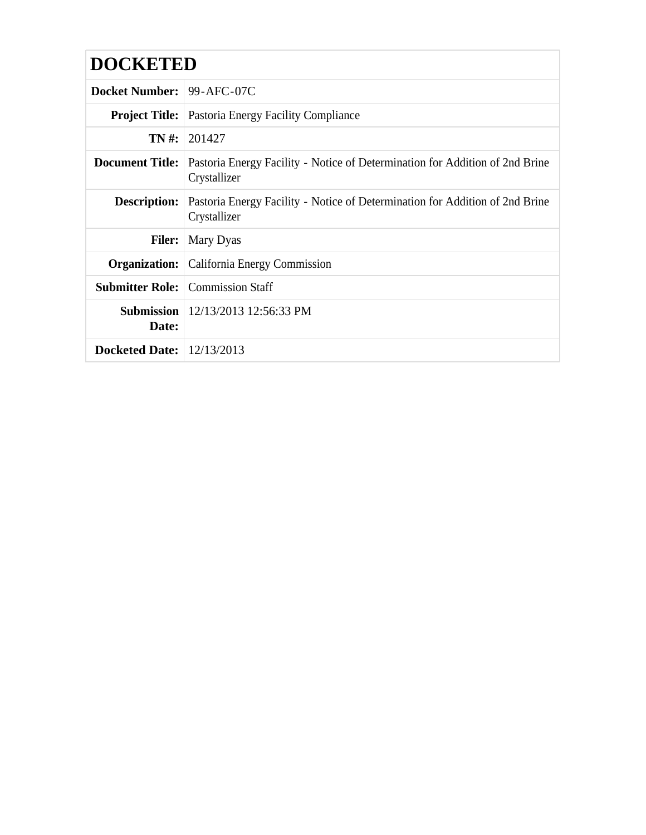| Docket Number: 99-AFC-07C        |                                                                                              |  |  |  |  |
|----------------------------------|----------------------------------------------------------------------------------------------|--|--|--|--|
|                                  | <b>Project Title:</b> Pastoria Energy Facility Compliance                                    |  |  |  |  |
|                                  | $TN \#: 201427$                                                                              |  |  |  |  |
| <b>Document Title:</b>           | Pastoria Energy Facility - Notice of Determination for Addition of 2nd Brine<br>Crystallizer |  |  |  |  |
| Description:                     | Pastoria Energy Facility - Notice of Determination for Addition of 2nd Brine<br>Crystallizer |  |  |  |  |
| <b>Filer:</b>                    | Mary Dyas                                                                                    |  |  |  |  |
|                                  | <b>Organization:</b> California Energy Commission                                            |  |  |  |  |
|                                  | <b>Submitter Role:</b> Commission Staff                                                      |  |  |  |  |
| Date:                            | <b>Submission</b>   $12/13/2013$ 12:56:33 PM                                                 |  |  |  |  |
| <b>Docketed Date:</b> 12/13/2013 |                                                                                              |  |  |  |  |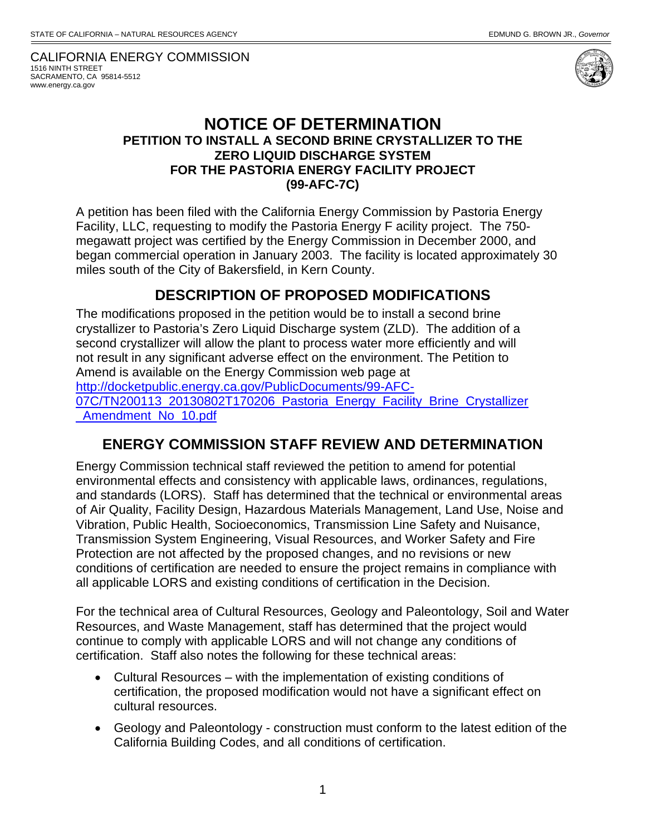CALIFORNIA ENERGY COMMISSION 1516 NINTH STREET SACRAMENTO, CA 95814-5512 www.energy.ca.gov



## **NOTICE OF DETERMINATION PETITION TO INSTALL A SECOND BRINE CRYSTALLIZER TO THE ZERO LIQUID DISCHARGE SYSTEM FOR THE PASTORIA ENERGY FACILITY PROJECT (99-AFC-7C)**

A petition has been filed with the California Energy Commission by Pastoria Energy Facility, LLC, requesting to modify the Pastoria Energy F acility project. The 750 megawatt project was certified by the Energy Commission in December 2000, and began commercial operation in January 2003. The facility is located approximately 30 miles south of the City of Bakersfield, in Kern County.

## **DESCRIPTION OF PROPOSED MODIFICATIONS**

The modifications proposed in the petition would be to install a second brine crystallizer to Pastoria's Zero Liquid Discharge system (ZLD). The addition of a second crystallizer will allow the plant to process water more efficiently and will not result in any significant adverse effect on the environment. The Petition to Amend is available on the Energy Commission web page at http://docketpublic.energy.ca.gov/PublicDocuments/99-AFC-07C/TN200113\_20130802T170206\_Pastoria\_Energy\_Facility\_Brine\_Crystallizer \_Amendment\_No\_10.pdf

## **ENERGY COMMISSION STAFF REVIEW AND DETERMINATION**

Energy Commission technical staff reviewed the petition to amend for potential environmental effects and consistency with applicable laws, ordinances, regulations, and standards (LORS). Staff has determined that the technical or environmental areas of Air Quality, Facility Design, Hazardous Materials Management, Land Use, Noise and Vibration, Public Health, Socioeconomics, Transmission Line Safety and Nuisance, Transmission System Engineering, Visual Resources, and Worker Safety and Fire Protection are not affected by the proposed changes, and no revisions or new conditions of certification are needed to ensure the project remains in compliance with all applicable LORS and existing conditions of certification in the Decision.

For the technical area of Cultural Resources, Geology and Paleontology, Soil and Water Resources, and Waste Management, staff has determined that the project would continue to comply with applicable LORS and will not change any conditions of certification. Staff also notes the following for these technical areas:

- Cultural Resources with the implementation of existing conditions of certification, the proposed modification would not have a significant effect on cultural resources.
- Geology and Paleontology construction must conform to the latest edition of the California Building Codes, and all conditions of certification.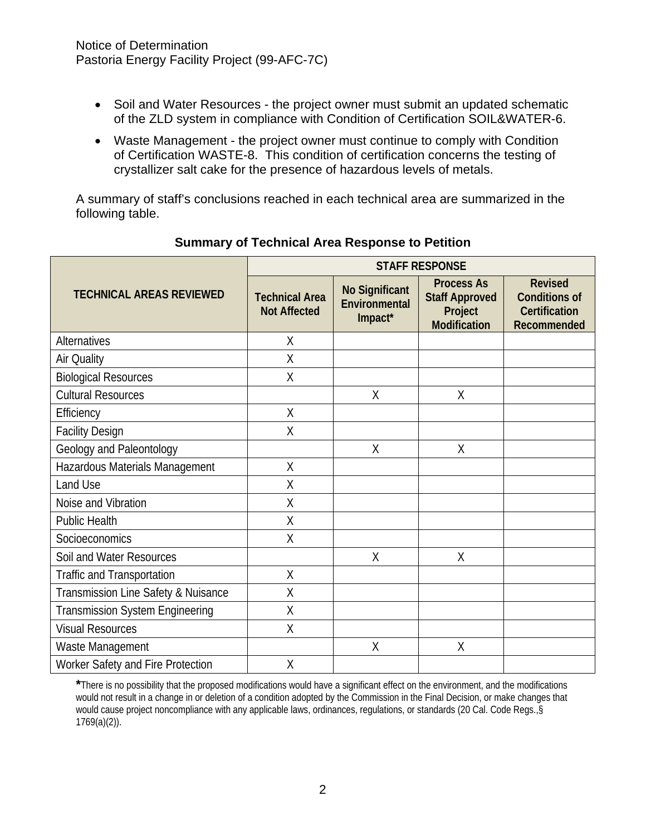- Soil and Water Resources the project owner must submit an updated schematic of the ZLD system in compliance with Condition of Certification SOIL&WATER-6.
- Waste Management the project owner must continue to comply with Condition of Certification WASTE-8. This condition of certification concerns the testing of crystallizer salt cake for the presence of hazardous levels of metals.

A summary of staff's conclusions reached in each technical area are summarized in the following table.

|                                        | <b>STAFF RESPONSE</b>                        |                                                   |                                                                              |                                                                               |
|----------------------------------------|----------------------------------------------|---------------------------------------------------|------------------------------------------------------------------------------|-------------------------------------------------------------------------------|
| <b>TECHNICAL AREAS REVIEWED</b>        | <b>Technical Area</b><br><b>Not Affected</b> | <b>No Significant</b><br>Environmental<br>Impact* | <b>Process As</b><br><b>Staff Approved</b><br>Project<br><b>Modification</b> | <b>Revised</b><br><b>Conditions of</b><br><b>Certification</b><br>Recommended |
| <b>Alternatives</b>                    | Χ                                            |                                                   |                                                                              |                                                                               |
| Air Quality                            | X                                            |                                                   |                                                                              |                                                                               |
| <b>Biological Resources</b>            | Χ                                            |                                                   |                                                                              |                                                                               |
| <b>Cultural Resources</b>              |                                              | X                                                 | X                                                                            |                                                                               |
| Efficiency                             | $\sf X$                                      |                                                   |                                                                              |                                                                               |
| <b>Facility Design</b>                 | $\sf X$                                      |                                                   |                                                                              |                                                                               |
| Geology and Paleontology               |                                              | X                                                 | Χ                                                                            |                                                                               |
| Hazardous Materials Management         | Χ                                            |                                                   |                                                                              |                                                                               |
| Land Use                               | X                                            |                                                   |                                                                              |                                                                               |
| Noise and Vibration                    | $\sf X$                                      |                                                   |                                                                              |                                                                               |
| <b>Public Health</b>                   | X                                            |                                                   |                                                                              |                                                                               |
| Socioeconomics                         | $\sf X$                                      |                                                   |                                                                              |                                                                               |
| Soil and Water Resources               |                                              | X                                                 | X                                                                            |                                                                               |
| Traffic and Transportation             | $\sf X$                                      |                                                   |                                                                              |                                                                               |
| Transmission Line Safety & Nuisance    | X                                            |                                                   |                                                                              |                                                                               |
| <b>Transmission System Engineering</b> | X                                            |                                                   |                                                                              |                                                                               |
| <b>Visual Resources</b>                | Χ                                            |                                                   |                                                                              |                                                                               |
| Waste Management                       |                                              | X                                                 | X                                                                            |                                                                               |
| Worker Safety and Fire Protection      | Χ                                            |                                                   |                                                                              |                                                                               |

## **Summary of Technical Area Response to Petition**

**\***There is no possibility that the proposed modifications would have a significant effect on the environment, and the modifications would not result in a change in or deletion of a condition adopted by the Commission in the Final Decision, or make changes that would cause project noncompliance with any applicable laws, ordinances, regulations, or standards (20 Cal. Code Regs.,§ 1769(a)(2)).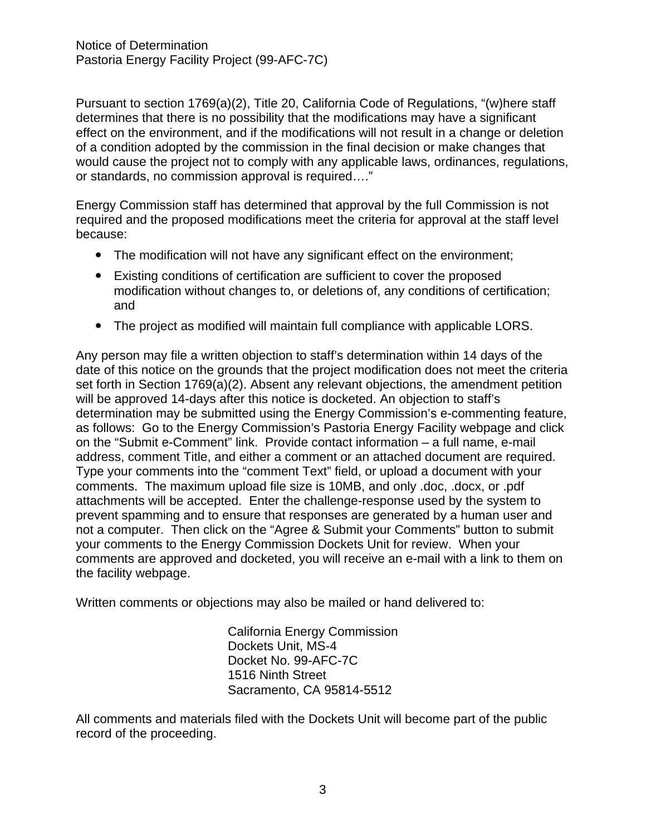Pursuant to section 1769(a)(2), Title 20, California Code of Regulations, "(w)here staff determines that there is no possibility that the modifications may have a significant effect on the environment, and if the modifications will not result in a change or deletion of a condition adopted by the commission in the final decision or make changes that would cause the project not to comply with any applicable laws, ordinances, regulations, or standards, no commission approval is required…."

Energy Commission staff has determined that approval by the full Commission is not required and the proposed modifications meet the criteria for approval at the staff level because:

- The modification will not have any significant effect on the environment;
- Existing conditions of certification are sufficient to cover the proposed modification without changes to, or deletions of, any conditions of certification; and
- The project as modified will maintain full compliance with applicable LORS.

Any person may file a written objection to staff's determination within 14 days of the date of this notice on the grounds that the project modification does not meet the criteria set forth in Section 1769(a)(2). Absent any relevant objections, the amendment petition will be approved 14-days after this notice is docketed. An objection to staff's determination may be submitted using the Energy Commission's e-commenting feature, as follows: Go to the Energy Commission's Pastoria Energy Facility webpage and click on the "Submit e-Comment" link. Provide contact information – a full name, e-mail address, comment Title, and either a comment or an attached document are required. Type your comments into the "comment Text" field, or upload a document with your comments. The maximum upload file size is 10MB, and only .doc, .docx, or .pdf attachments will be accepted. Enter the challenge-response used by the system to prevent spamming and to ensure that responses are generated by a human user and not a computer. Then click on the "Agree & Submit your Comments" button to submit your comments to the Energy Commission Dockets Unit for review. When your comments are approved and docketed, you will receive an e-mail with a link to them on the facility webpage.

Written comments or objections may also be mailed or hand delivered to:

California Energy Commission Dockets Unit, MS-4 Docket No. 99-AFC-7C 1516 Ninth Street Sacramento, CA 95814-5512

All comments and materials filed with the Dockets Unit will become part of the public record of the proceeding.